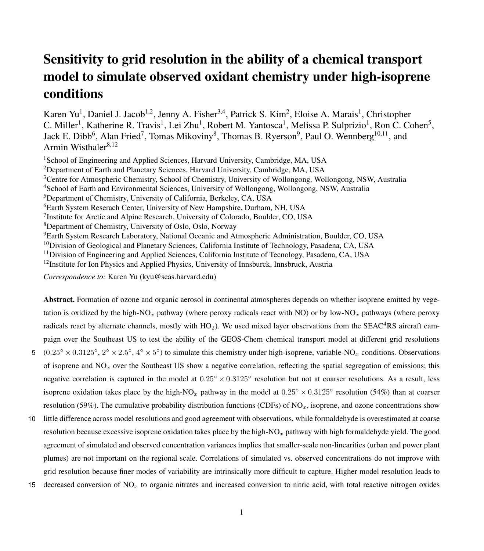# Sensitivity to grid resolution in the ability of a chemical transport model to simulate observed oxidant chemistry under high-isoprene conditions

Karen Yu<sup>1</sup>, Daniel J. Jacob<sup>1,2</sup>, Jenny A. Fisher<sup>3,4</sup>, Patrick S. Kim<sup>2</sup>, Eloise A. Marais<sup>1</sup>, Christopher C. Miller<sup>1</sup>, Katherine R. Travis<sup>1</sup>, Lei Zhu<sup>1</sup>, Robert M. Yantosca<sup>1</sup>, Melissa P. Sulprizio<sup>1</sup>, Ron C. Cohen<sup>5</sup>, Jack E. Dibb<sup>6</sup>, Alan Fried<sup>7</sup>, Tomas Mikoviny<sup>8</sup>, Thomas B. Ryerson<sup>9</sup>, Paul O. Wennberg<sup>10,11</sup>, and Armin Wisthaler $8,12$ 

<sup>1</sup>School of Engineering and Applied Sciences, Harvard University, Cambridge, MA, USA Department of Earth and Planetary Sciences, Harvard University, Cambridge, MA, USA Centre for Atmospheric Chemistry, School of Chemistry, University of Wollongong, Wollongong, NSW, Australia School of Earth and Environmental Sciences, University of Wollongong, Wollongong, NSW, Australia Department of Chemistry, University of California, Berkeley, CA, USA Earth System Reserach Center, University of New Hampshire, Durham, NH, USA <sup>7</sup>Institute for Arctic and Alpine Research, University of Colorado, Boulder, CO, USA Department of Chemistry, University of Oslo, Oslo, Norway Earth System Research Laboratory, National Oceanic and Atmospheric Administration, Boulder, CO, USA Division of Geological and Planetary Sciences, California Institute of Technology, Pasadena, CA, USA <sup>11</sup> Division of Engineering and Applied Sciences, California Institute of Tecnology, Pasadena, CA, USA Institute for Ion Physics and Applied Physics, University of Innsburck, Innsbruck, Austria

*Correspondence to:* Karen Yu (kyu@seas.harvard.edu)

Abstract. Formation of ozone and organic aerosol in continental atmospheres depends on whether isoprene emitted by vegetation is oxidized by the high-NO<sub>x</sub> pathway (where peroxy radicals react with NO) or by low-NO<sub>x</sub> pathways (where peroxy radicals react by alternate channels, mostly with  $HO_2$ ). We used mixed layer observations from the SEAC<sup>4</sup>RS aircraft campaign over the Southeast US to test the ability of the GEOS-Chem chemical transport model at different grid resolutions 5  $(0.25° \times 0.3125°, 2° \times 2.5°, 4° \times 5°)$  to simulate this chemistry under high-isoprene, variable-NO<sub>x</sub> conditions. Observations of isoprene and  $NO<sub>x</sub>$  over the Southeast US show a negative correlation, reflecting the spatial segregation of emissions; this negative correlation is captured in the model at  $0.25^\circ \times 0.3125^\circ$  resolution but not at coarser resolutions. As a result, less

isoprene oxidation takes place by the high-NO<sub>x</sub> pathway in the model at  $0.25° \times 0.3125°$  resolution (54%) than at coarser resolution (59%). The cumulative probability distribution functions (CDFs) of  $NQ_x$ , isoprene, and ozone concentrations show

10 little difference across model resolutions and good agreement with observations, while formaldehyde is overestimated at coarse resolution because excessive isoprene oxidation takes place by the high-NO<sub>x</sub> pathway with high formaldehyde yield. The good agreement of simulated and observed concentration variances implies that smaller-scale non-linearities (urban and power plant plumes) are not important on the regional scale. Correlations of simulated vs. observed concentrations do not improve with grid resolution because finer modes of variability are intrinsically more difficult to capture. Higher model resolution leads to

15 decreased conversion of  $NO<sub>x</sub>$  to organic nitrates and increased conversion to nitric acid, with total reactive nitrogen oxides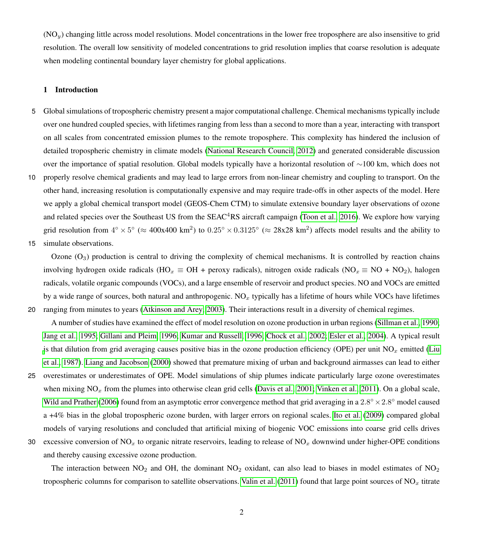$(NO<sub>u</sub>)$  changing little across model resolutions. Model concentrations in the lower free troposphere are also insensitive to grid resolution. The overall low sensitivity of modeled concentrations to grid resolution implies that coarse resolution is adequate when modeling continental boundary layer chemistry for global applications.

# 1 Introduction

- 5 Global simulations of tropospheric chemistry present a major computational challenge. Chemical mechanisms typically include over one hundred coupled species, with lifetimes ranging from less than a second to more than a year, interacting with transport on all scales from concentrated emission plumes to the remote troposphere. This complexity has hindered the inclusion of detailed tropospheric chemistry in climate models [\(National Research Council, 2012\)](#page-10-0) and generated considerable discussion over the importance of spatial resolution. Global models typically have a horizontal resolution of ∼100 km, which does not
- 10 properly resolve chemical gradients and may lead to large errors from non-linear chemistry and coupling to transport. On the other hand, increasing resolution is computationally expensive and may require trade-offs in other aspects of the model. Here we apply a global chemical transport model (GEOS-Chem CTM) to simulate extensive boundary layer observations of ozone and related species over the Southeast US from the SEAC<sup>4</sup>RS aircraft campaign [\(Toon et al., 2016\)](#page-10-1). We explore how varying grid resolution from  $4^\circ \times 5^\circ$  ( $\approx 400x400 \text{ km}^2$ ) to  $0.25^\circ \times 0.3125^\circ$  ( $\approx 28x28 \text{ km}^2$ ) affects model results and the ability to
- 15 simulate observations.

Ozone  $(O_3)$  production is central to driving the complexity of chemical mechanisms. It is controlled by reaction chains involving hydrogen oxide radicals (HO<sub>x</sub>  $\equiv$  OH + peroxy radicals), nitrogen oxide radicals (NO<sub>x</sub>  $\equiv$  NO + NO<sub>2</sub>), halogen radicals, volatile organic compounds (VOCs), and a large ensemble of reservoir and product species. NO and VOCs are emitted by a wide range of sources, both natural and anthropogenic.  $NO<sub>x</sub>$  typically has a lifetime of hours while VOCs have lifetimes 20 ranging from minutes to years [\(Atkinson and Arey, 2003\)](#page-8-0). Their interactions result in a diversity of chemical regimes.

A number of studies have examined the effect of model resolution on ozone production in urban regions [\(Sillman et al., 1990;](#page-10-2) [Jang et al., 1995;](#page-9-0) [Gillani and Pleim, 1996;](#page-8-1) [Kumar and Russell, 1996;](#page-9-1) [Chock et al., 2002;](#page-8-2) [Esler et al., 2004\)](#page-8-3). A typical result [i](#page-9-2)s that dilution from grid averaging causes positive bias in the ozone production efficiency (OPE) per unit  $NO<sub>x</sub>$  emitted [\(Liu](#page-9-2) [et al., 1987\)](#page-9-2). [Liang and Jacobson](#page-9-3) [\(2000\)](#page-9-3) showed that premature mixing of urban and background airmasses can lead to either 25 overestimates or underestimates of OPE. Model simulations of ship plumes indicate particularly large ozone overestimates when mixing  $NO_x$  from the plumes into otherwise clean grid cells [\(Davis et al., 2001;](#page-8-4) [Vinken et al., 2011\)](#page-10-3). On a global scale, [Wild and Prather](#page-11-0) [\(2006\)](#page-11-0) found from an asymptotic error convergence method that grid averaging in a  $2.8^\circ \times 2.8^\circ$  model caused a +4% bias in the global tropospheric ozone burden, with larger errors on regional scales. [Ito et al.](#page-9-4) [\(2009\)](#page-9-4) compared global models of varying resolutions and concluded that artificial mixing of biogenic VOC emissions into coarse grid cells drives

30 excessive conversion of  $NO<sub>x</sub>$  to organic nitrate reservoirs, leading to release of  $NO<sub>x</sub>$  downwind under higher-OPE conditions and thereby causing excessive ozone production.

The interaction between  $NO_2$  and OH, the dominant  $NO_2$  oxidant, can also lead to biases in model estimates of  $NO_2$ tropospheric columns for comparison to satellite observations. [Valin et al.](#page-10-4) [\(2011\)](#page-10-4) found that large point sources of  $NO<sub>x</sub>$  titrate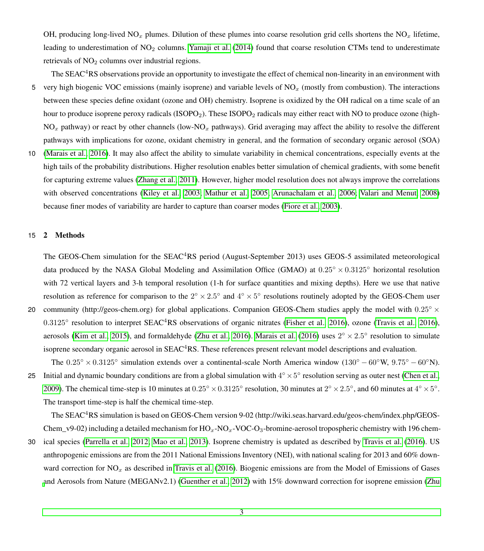OH, producing long-lived NO<sub>x</sub> plumes. Dilution of these plumes into coarse resolution grid cells shortens the NO<sub>x</sub> lifetime, leading to underestimation of  $NO<sub>2</sub>$  columns. [Yamaji et al.](#page-11-1) [\(2014\)](#page-11-1) found that coarse resolution CTMs tend to underestimate retrievals of  $NO<sub>2</sub>$  columns over industrial regions.

- The SEAC<sup>4</sup>RS observations provide an opportunity to investigate the effect of chemical non-linearity in an environment with 5 very high biogenic VOC emissions (mainly isoprene) and variable levels of  $NO<sub>x</sub>$  (mostly from combustion). The interactions between these species define oxidant (ozone and OH) chemistry. Isoprene is oxidized by the OH radical on a time scale of an hour to produce isoprene peroxy radicals (ISOPO<sub>2</sub>). These ISOPO<sub>2</sub> radicals may either react with NO to produce ozone (high- $NO<sub>x</sub>$  pathway) or react by other channels (low-NO<sub>x</sub> pathways). Grid averaging may affect the ability to resolve the different pathways with implications for ozone, oxidant chemistry in general, and the formation of secondary organic aerosol (SOA)
- 10 [\(Marais et al., 2016\)](#page-9-5). It may also affect the ability to simulate variability in chemical concentrations, especially events at the high tails of the probability distributions. Higher resolution enables better simulation of chemical gradients, with some benefit for capturing extreme values [\(Zhang et al., 2011\)](#page-11-2). However, higher model resolution does not always improve the correlations with observed concentrations [\(Kiley et al., 2003;](#page-9-6) [Mathur et al., 2005;](#page-9-7) [Arunachalam et al., 2006;](#page-8-5) [Valari and Menut, 2008\)](#page-10-5) because finer modes of variability are harder to capture than coarser modes [\(Fiore et al., 2003\)](#page-8-6).

# 15 2 Methods

The GEOS-Chem simulation for the SEAC<sup>4</sup>RS period (August-September 2013) uses GEOS-5 assimilated meteorological data produced by the NASA Global Modeling and Assimilation Office (GMAO) at  $0.25° \times 0.3125°$  horizontal resolution with 72 vertical layers and 3-h temporal resolution (1-h for surface quantities and mixing depths). Here we use that native resolution as reference for comparison to the  $2^{\circ} \times 2.5^{\circ}$  and  $4^{\circ} \times 5^{\circ}$  resolutions routinely adopted by the GEOS-Chem user

- 20 community (http://geos-chem.org) for global applications. Companion GEOS-Chem studies apply the model with  $0.25^\circ \times$ 0.3125° resolution to interpret SEAC<sup>4</sup>RS observations of organic nitrates [\(Fisher et al., 2016\)](#page-8-7), ozone [\(Travis et al., 2016\)](#page-10-6), aerosols [\(Kim et al., 2015\)](#page-9-8), and formaldehyde [\(Zhu et al., 2016\)](#page-11-3). [Marais et al.](#page-9-5) [\(2016\)](#page-9-5) uses  $2^{\circ} \times 2.5^{\circ}$  resolution to simulate isoprene secondary organic aerosol in SEAC<sup>4</sup>RS. These references present relevant model descriptions and evaluation.
- The  $0.25^\circ \times 0.3125^\circ$  simulation extends over a continental-scale North America window  $(130^\circ 60^\circ W, 9.75^\circ 60^\circ W)$ . 25 Initial and dynamic boundary conditions are from a global simulation with  $4^{\circ} \times 5^{\circ}$  resolution serving as outer nest [\(Chen et al.,](#page-8-8) [2009\)](#page-8-8). The chemical time-step is 10 minutes at  $0.25^\circ \times 0.3125^\circ$  resolution, 30 minutes at  $2^\circ \times 2.5^\circ$ , and 60 minutes at  $4^\circ \times 5^\circ$ . The transport time-step is half the chemical time-step.

The SEAC<sup>4</sup>RS simulation is based on GEOS-Chem version 9-02 (http://wiki.seas.harvard.edu/geos-chem/index.php/GEOS-Chem\_v9-02) including a detailed mechanism for  $HO_x$ -NO $_x$ -VOC-O<sub>3</sub>-bromine-aerosol tropospheric chemistry with 196 chem-

30 ical species [\(Parrella et al., 2012;](#page-10-7) [Mao et al., 2013\)](#page-9-9). Isoprene chemistry is updated as described by [Travis et al.](#page-10-6) [\(2016\)](#page-10-6). US anthropogenic emissions are from the 2011 National Emissions Inventory (NEI), with national scaling for 2013 and 60% downward correction for  $NO<sub>x</sub>$  as described in [Travis et al.](#page-10-6) [\(2016\)](#page-10-6). Biogenic emissions are from the Model of Emissions of Gases [a](#page-11-3)nd Aerosols from Nature (MEGANv2.1) [\(Guenther et al., 2012\)](#page-8-9) with 15% downward correction for isoprene emission [\(Zhu](#page-11-3)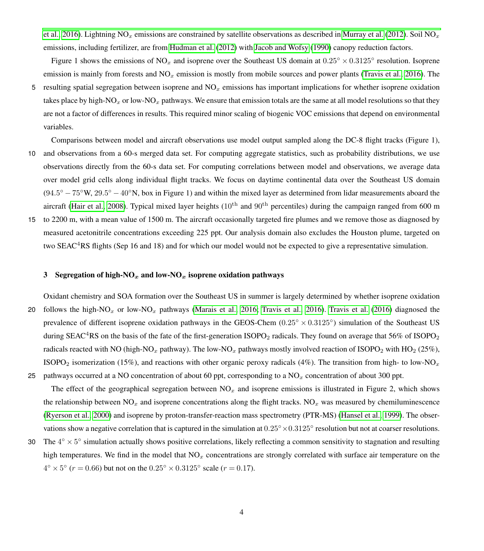[et al., 2016\)](#page-11-3). Lightning NO<sub>x</sub> emissions are constrained by satellite observations as described in [Murray et al.](#page-10-8) [\(2012\)](#page-10-8). Soil NO<sub>x</sub> emissions, including fertilizer, are from [Hudman et al.](#page-9-10) [\(2012\)](#page-9-10) with [Jacob and Wofsy](#page-9-11) [\(1990\)](#page-9-11) canopy reduction factors.

Figure 1 shows the emissions of NO<sub>x</sub> and isoprene over the Southeast US domain at  $0.25^\circ \times 0.3125^\circ$  resolution. Isoprene emission is mainly from forests and  $NO<sub>x</sub>$  emission is mostly from mobile sources and power plants [\(Travis et al., 2016\)](#page-10-6). The

5 resulting spatial segregation between isoprene and  $NO<sub>x</sub>$  emissions has important implications for whether isoprene oxidation takes place by high-NO<sub>x</sub> or low-NO<sub>x</sub> pathways. We ensure that emission totals are the same at all model resolutions so that they are not a factor of differences in results. This required minor scaling of biogenic VOC emissions that depend on environmental variables.

Comparisons between model and aircraft observations use model output sampled along the DC-8 flight tracks (Figure 1),

- 10 and observations from a 60-s merged data set. For computing aggregate statistics, such as probability distributions, we use observations directly from the 60-s data set. For computing correlations between model and observations, we average data over model grid cells along individual flight tracks. We focus on daytime continental data over the Southeast US domain  $(94.5^{\circ} - 75^{\circ}$ W,  $29.5^{\circ} - 40^{\circ}$ N, box in Figure 1) and within the mixed layer as determined from lidar measurements aboard the aircraft [\(Hair et al., 2008\)](#page-8-10). Typical mixed layer heights  $(10^{th}$  and  $90^{th}$  percentiles) during the campaign ranged from 600 m
- 15 to 2200 m, with a mean value of 1500 m. The aircraft occasionally targeted fire plumes and we remove those as diagnosed by measured acetonitrile concentrations exceeding 225 ppt. Our analysis domain also excludes the Houston plume, targeted on two SEAC<sup>4</sup>RS flights (Sep 16 and 18) and for which our model would not be expected to give a representative simulation.

## 3 Segregation of high-NO<sub>x</sub> and low-NO<sub>x</sub> isoprene oxidation pathways

Oxidant chemistry and SOA formation over the Southeast US in summer is largely determined by whether isoprene oxidation 20 follows the high-NO<sub>x</sub> or low-NO<sub>x</sub> pathways [\(Marais et al., 2016;](#page-9-5) [Travis et al., 2016\)](#page-10-6). [Travis et al.](#page-10-6) [\(2016\)](#page-10-6) diagnosed the prevalence of different isoprene oxidation pathways in the GEOS-Chem  $(0.25° \times 0.3125°)$  simulation of the Southeast US during SEAC<sup>4</sup>RS on the basis of the fate of the first-generation ISOPO<sub>2</sub> radicals. They found on average that 56% of ISOPO<sub>2</sub> radicals reacted with NO (high-NO<sub>x</sub> pathway). The low-NO<sub>x</sub> pathways mostly involved reaction of ISOPO<sub>2</sub> with HO<sub>2</sub> (25%), ISOPO<sub>2</sub> isomerization (15%), and reactions with other organic peroxy radicals (4%). The transition from high- to low-NO<sub>x</sub> 25 pathways occurred at a NO concentration of about 60 ppt, corresponding to a  $NO<sub>x</sub>$  concentration of about 300 ppt.

- The effect of the geographical segregation between  $NO<sub>x</sub>$  and isoprene emissions is illustrated in Figure 2, which shows the relationship between  $NO_x$  and isoprene concentrations along the flight tracks.  $NO_x$  was measured by chemiluminescence [\(Ryerson et al., 2000\)](#page-10-9) and isoprene by proton-transfer-reaction mass spectrometry (PTR-MS) [\(Hansel et al., 1999\)](#page-8-11). The observations show a negative correlation that is captured in the simulation at  $0.25° \times 0.3125°$  resolution but not at coarser resolutions.
- 30 The  $4^\circ \times 5^\circ$  simulation actually shows positive correlations, likely reflecting a common sensitivity to stagnation and resulting high temperatures. We find in the model that  $NO<sub>x</sub>$  concentrations are strongly correlated with surface air temperature on the  $4^{\circ} \times 5^{\circ}$  ( $r = 0.66$ ) but not on the  $0.25^{\circ} \times 0.3125^{\circ}$  scale ( $r = 0.17$ ).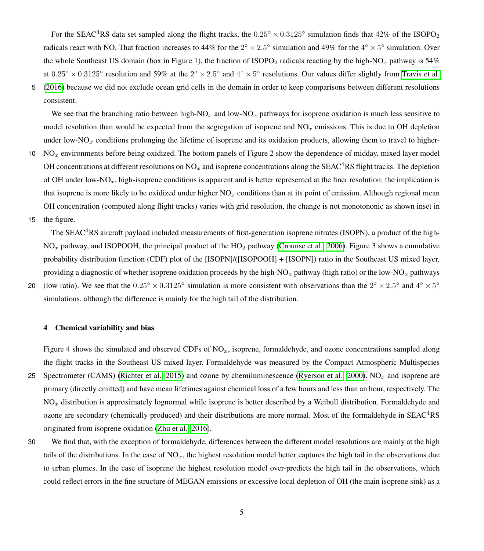For the SEAC<sup>4</sup>RS data set sampled along the flight tracks, the  $0.25° \times 0.3125°$  simulation finds that 42% of the ISOPO<sub>2</sub> radicals react with NO. That fraction increases to 44% for the  $2^{\circ} \times 2.5^{\circ}$  simulation and 49% for the  $4^{\circ} \times 5^{\circ}$  simulation. Over the whole Southeast US domain (box in Figure 1), the fraction of ISOPO<sub>2</sub> radicals reacting by the high-NO<sub>x</sub> pathway is 54% at  $0.25^\circ \times 0.3125^\circ$  resolution and 59% at the  $2^\circ \times 2.5^\circ$  and  $4^\circ \times 5^\circ$  resolutions. Our values differ slightly from [Travis et al.](#page-10-6) 5 [\(2016\)](#page-10-6) because we did not exclude ocean grid cells in the domain in order to keep comparisons between different resolutions

consistent.

We see that the branching ratio between high-NO<sub>x</sub> and low-NO<sub>x</sub> pathways for isoprene oxidation is much less sensitive to model resolution than would be expected from the segregation of isoprene and  $NO<sub>x</sub>$  emissions. This is due to OH depletion under low-NO<sub>x</sub> conditions prolonging the lifetime of isoprene and its oxidation products, allowing them to travel to higher-

- 10  $NO<sub>x</sub>$  environments before being oxidized. The bottom panels of Figure 2 show the dependence of midday, mixed layer model OH concentrations at different resolutions on  $NO<sub>x</sub>$  and isoprene concentrations along the SEAC<sup>4</sup>RS flight tracks. The depletion of OH under low-NO<sub>x</sub>, high-isoprene conditions is apparent and is better represented at the finer resolution: the implication is that isoprene is more likely to be oxidized under higher  $NO<sub>x</sub>$  conditions than at its point of emission. Although regional mean OH concentration (computed along flight tracks) varies with grid resolution, the change is not monotononic as shown inset in
- 15 the figure.

20

The SEAC<sup>4</sup>RS aircraft payload included measurements of first-generation isoprene nitrates (ISOPN), a product of the high- $NO<sub>x</sub>$  pathway, and ISOPOOH, the principal product of the HO<sub>2</sub> pathway [\(Crounse et al., 2006\)](#page-8-12). Figure 3 shows a cumulative probability distribution function (CDF) plot of the [ISOPN]/([ISOPOOH] + [ISOPN]) ratio in the Southeast US mixed layer, providing a diagnostic of whether isoprene oxidation proceeds by the high-NO<sub>x</sub> pathway (high ratio) or the low-NO<sub>x</sub> pathways (low ratio). We see that the  $0.25^{\circ} \times 0.3125^{\circ}$  simulation is more consistent with observations than the  $2^{\circ} \times 2.5^{\circ}$  and  $4^{\circ} \times 5^{\circ}$ simulations, although the difference is mainly for the high tail of the distribution.

#### 4 Chemical variability and bias

Figure 4 shows the simulated and observed CDFs of  $NO<sub>x</sub>$ , isoprene, formaldehyde, and ozone concentrations sampled along the flight tracks in the Southeast US mixed layer. Formaldehyde was measured by the Compact Atmospheric Multispecies 25 Spectrometer (CAMS) [\(Richter et al., 2015\)](#page-10-10) and ozone by chemiluminescence [\(Ryerson et al., 2000\)](#page-10-9).  $NO<sub>x</sub>$  and isoprene are primary (directly emitted) and have mean lifetimes against chemical loss of a few hours and less than an hour, respectively. The  $NO<sub>x</sub>$  distribution is approximately lognormal while isoprene is better described by a Weibull distribution. Formaldehyde and ozone are secondary (chemically produced) and their distributions are more normal. Most of the formaldehyde in SEAC<sup>4</sup>RS originated from isoprene oxidation [\(Zhu et al., 2016\)](#page-11-3).

<sup>30</sup> We find that, with the exception of formaldehyde, differences between the different model resolutions are mainly at the high tails of the distributions. In the case of  $NO<sub>x</sub>$ , the highest resolution model better captures the high tail in the observations due to urban plumes. In the case of isoprene the highest resolution model over-predicts the high tail in the observations, which could reflect errors in the fine structure of MEGAN emissions or excessive local depletion of OH (the main isoprene sink) as a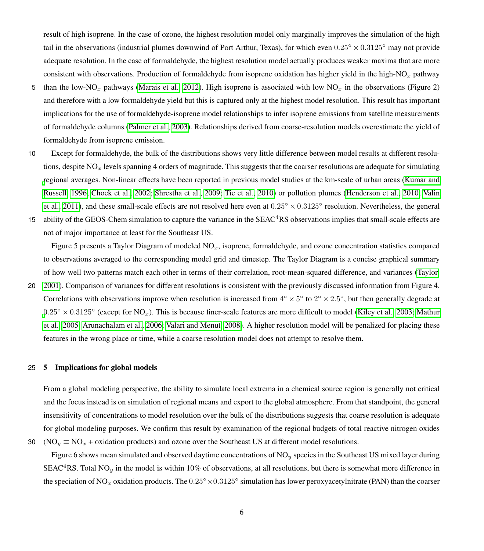result of high isoprene. In the case of ozone, the highest resolution model only marginally improves the simulation of the high tail in the observations (industrial plumes downwind of Port Arthur, Texas), for which even  $0.25° \times 0.3125°$  may not provide adequate resolution. In the case of formaldehyde, the highest resolution model actually produces weaker maxima that are more consistent with observations. Production of formaldehyde from isoprene oxidation has higher yield in the high-NO<sub>x</sub> pathway

- 5 than the low-NO<sub>x</sub> pathways [\(Marais et al., 2012\)](#page-9-12). High isoprene is associated with low NO<sub>x</sub> in the observations (Figure 2) and therefore with a low formaldehyde yield but this is captured only at the highest model resolution. This result has important implications for the use of formaldehyde-isoprene model relationships to infer isoprene emissions from satellite measurements of formaldehyde columns [\(Palmer et al., 2003\)](#page-10-11). Relationships derived from coarse-resolution models overestimate the yield of formaldehyde from isoprene emission.
- 10 Except for formaldehyde, the bulk of the distributions shows very little difference between model results at different resolutions, despite  $NO<sub>x</sub>$  levels spanning 4 orders of magnitude. This suggests that the coarser resolutions are adequate for simulating [r](#page-9-1)egional averages. Non-linear effects have been reported in previous model studies at the km-scale of urban areas [\(Kumar and](#page-9-1) [Russell, 1996;](#page-9-1) [Chock et al., 2002;](#page-8-2) [Shrestha et al., 2009;](#page-10-12) [Tie et al., 2010\)](#page-10-13) or pollution plumes [\(Henderson et al., 2010;](#page-8-13) [Valin](#page-10-4) [et al., 2011\)](#page-10-4), and these small-scale effects are not resolved here even at  $0.25° \times 0.3125°$  resolution. Nevertheless, the general
- 15 ability of the GEOS-Chem simulation to capture the variance in the SEAC<sup>4</sup>RS observations implies that small-scale effects are not of major importance at least for the Southeast US.

Figure 5 presents a Taylor Diagram of modeled  $NO<sub>x</sub>$ , isoprene, formaldehyde, and ozone concentration statistics compared to observations averaged to the corresponding model grid and timestep. The Taylor Diagram is a concise graphical summary of how well two patterns match each other in terms of their correlation, root-mean-squared difference, and variances [\(Taylor,](#page-10-14)

20 [2001\)](#page-10-14). Comparison of variances for different resolutions is consistent with the previously discussed information from Figure 4. Correlations with observations improve when resolution is increased from  $4^\circ \times 5^\circ$  to  $2^\circ \times 2.5^\circ$ , but then generally degrade at  $0.25^\circ \times 0.3125^\circ$  $0.25^\circ \times 0.3125^\circ$  (except for NO<sub>x</sub>). This is because finer-scale features are more difficult to model [\(Kiley et al., 2003;](#page-9-6) [Mathur](#page-9-7) [et al., 2005;](#page-9-7) [Arunachalam et al., 2006;](#page-8-5) [Valari and Menut, 2008\)](#page-10-5). A higher resolution model will be penalized for placing these features in the wrong place or time, while a coarse resolution model does not attempt to resolve them.

# 25 5 Implications for global models

From a global modeling perspective, the ability to simulate local extrema in a chemical source region is generally not critical and the focus instead is on simulation of regional means and export to the global atmosphere. From that standpoint, the general insensitivity of concentrations to model resolution over the bulk of the distributions suggests that coarse resolution is adequate for global modeling purposes. We confirm this result by examination of the regional budgets of total reactive nitrogen oxides 30 (NO<sub>y</sub>  $\equiv$  NO<sub>x</sub> + oxidation products) and ozone over the Southeast US at different model resolutions.

Figure 6 shows mean simulated and observed daytime concentrations of  $NO<sub>y</sub>$  species in the Southeast US mixed layer during SEAC<sup>4</sup>RS. Total NO<sub>y</sub> in the model is within 10% of observations, at all resolutions, but there is somewhat more difference in the speciation of NO<sub>x</sub> oxidation products. The  $0.25^\circ \times 0.3125^\circ$  simulation has lower peroxyacetylnitrate (PAN) than the coarser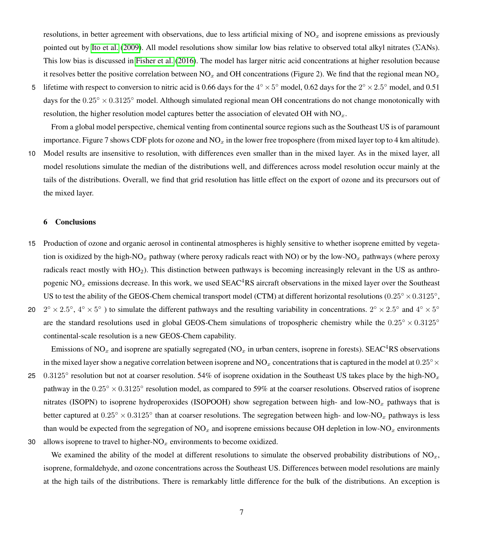resolutions, in better agreement with observations, due to less artificial mixing of  $NO<sub>x</sub>$  and isoprene emissions as previously pointed out by [Ito et al.](#page-9-4) [\(2009\)](#page-9-4). All model resolutions show similar low bias relative to observed total alkyl nitrates (ΣANs). This low bias is discussed in [Fisher et al.](#page-8-7) [\(2016\)](#page-8-7). The model has larger nitric acid concentrations at higher resolution because it resolves better the positive correlation between  $NO<sub>x</sub>$  and OH concentrations (Figure 2). We find that the regional mean  $NO<sub>x</sub>$ 

5 lifetime with respect to conversion to nitric acid is 0.66 days for the  $4^{\circ} \times 5^{\circ}$  model, 0.62 days for the  $2^{\circ} \times 2.5^{\circ}$  model, and 0.51 days for the  $0.25° \times 0.3125°$  model. Although simulated regional mean OH concentrations do not change monotonically with resolution, the higher resolution model captures better the association of elevated OH with  $NO<sub>x</sub>$ .

From a global model perspective, chemical venting from continental source regions such as the Southeast US is of paramount importance. Figure 7 shows CDF plots for ozone and  $NO_x$  in the lower free troposphere (from mixed layer top to 4 km altitude).

10 Model results are insensitive to resolution, with differences even smaller than in the mixed layer. As in the mixed layer, all model resolutions simulate the median of the distributions well, and differences across model resolution occur mainly at the tails of the distributions. Overall, we find that grid resolution has little effect on the export of ozone and its precursors out of the mixed layer.

### 6 Conclusions

- 15 Production of ozone and organic aerosol in continental atmospheres is highly sensitive to whether isoprene emitted by vegetation is oxidized by the high-NO<sub>x</sub> pathway (where peroxy radicals react with NO) or by the low-NO<sub>x</sub> pathways (where peroxy radicals react mostly with HO2). This distinction between pathways is becoming increasingly relevant in the US as anthropogenic  $NO<sub>x</sub>$  emissions decrease. In this work, we used  $SEAC<sup>4</sup>RS$  aircraft observations in the mixed layer over the Southeast US to test the ability of the GEOS-Chem chemical transport model (CTM) at different horizontal resolutions ( $0.25° \times 0.3125°$ ,
- $2^{\circ} \times 2.5^{\circ}$ ,  $4^{\circ} \times 5^{\circ}$ ) to simulate the different pathways and the resulting variability in concentrations.  $2^{\circ} \times 2.5^{\circ}$  and  $4^{\circ} \times 5^{\circ}$ 20 are the standard resolutions used in global GEOS-Chem simulations of tropospheric chemistry while the  $0.25° \times 0.3125°$ continental-scale resolution is a new GEOS-Chem capability.

Emissions of NO<sub>x</sub> and isoprene are spatially segregated (NO<sub>x</sub> in urban centers, isoprene in forests). SEAC<sup>4</sup>RS observations in the mixed layer show a negative correlation between isoprene and NO<sub>x</sub> concentrations that is captured in the model at  $0.25° \times$ 25 0.3125 $\degree$  resolution but not at coarser resolution. 54% of isoprene oxidation in the Southeast US takes place by the high-NO<sub>x</sub> pathway in the  $0.25^\circ \times 0.3125^\circ$  resolution model, as compared to 59% at the coarser resolutions. Observed ratios of isoprene nitrates (ISOPN) to isoprene hydroperoxides (ISOPOOH) show segregation between high- and low-NO<sub>x</sub> pathways that is better captured at  $0.25^\circ \times 0.3125^\circ$  than at coarser resolutions. The segregation between high- and low-NO<sub>x</sub> pathways is less than would be expected from the segregation of  $NO<sub>x</sub>$  and isoprene emissions because OH depletion in low-NO<sub>x</sub> environments 30 allows isoprene to travel to higher- $NO<sub>x</sub>$  environments to become oxidized.

We examined the ability of the model at different resolutions to simulate the observed probability distributions of  $NO<sub>x</sub>$ , isoprene, formaldehyde, and ozone concentrations across the Southeast US. Differences between model resolutions are mainly at the high tails of the distributions. There is remarkably little difference for the bulk of the distributions. An exception is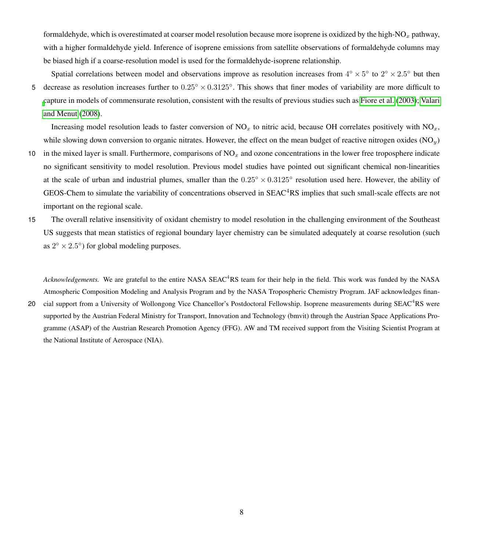formaldehyde, which is overestimated at coarser model resolution because more isoprene is oxidized by the high- $NO<sub>x</sub>$  pathway, with a higher formaldehyde yield. Inference of isoprene emissions from satellite observations of formaldehyde columns may be biased high if a coarse-resolution model is used for the formaldehyde-isoprene relationship.

Spatial correlations between model and observations improve as resolution increases from  $4^\circ \times 5^\circ$  to  $2^\circ \times 2.5^\circ$  but then 5 decrease as resolution increases further to  $0.25^\circ \times 0.3125^\circ$ . This shows that finer modes of variability are more difficult to [c](#page-10-5)apture in models of commensurate resolution, consistent with the results of previous studies such as [Fiore et al.](#page-8-6) [\(2003\)](#page-8-6); [Valari](#page-10-5) [and Menut](#page-10-5) [\(2008\)](#page-10-5).

Increasing model resolution leads to faster conversion of  $NO<sub>x</sub>$  to nitric acid, because OH correlates positively with  $NO<sub>x</sub>$ , while slowing down conversion to organic nitrates. However, the effect on the mean budget of reactive nitrogen oxides  $(NO<sub>u</sub>)$ 

- 10 in the mixed layer is small. Furthermore, comparisons of  $NO<sub>x</sub>$  and ozone concentrations in the lower free troposphere indicate no significant sensitivity to model resolution. Previous model studies have pointed out significant chemical non-linearities at the scale of urban and industrial plumes, smaller than the  $0.25^\circ \times 0.3125^\circ$  resolution used here. However, the ability of GEOS-Chem to simulate the variability of concentrations observed in  $SEAC<sup>4</sup>RS$  implies that such small-scale effects are not important on the regional scale.
- 15 The overall relative insensitivity of oxidant chemistry to model resolution in the challenging environment of the Southeast US suggests that mean statistics of regional boundary layer chemistry can be simulated adequately at coarse resolution (such as  $2^{\circ} \times 2.5^{\circ}$ ) for global modeling purposes.

*Acknowledgements.* We are grateful to the entire NASA SEAC<sup>4</sup>RS team for their help in the field. This work was funded by the NASA Atmospheric Composition Modeling and Analysis Program and by the NASA Tropospheric Chemistry Program. JAF acknowledges finan-

20 cial support from a University of Wollongong Vice Chancellor's Postdoctoral Fellowship. Isoprene measurements during SEAC<sup>4</sup>RS were supported by the Austrian Federal Ministry for Transport, Innovation and Technology (bmvit) through the Austrian Space Applications Programme (ASAP) of the Austrian Research Promotion Agency (FFG). AW and TM received support from the Visiting Scientist Program at the National Institute of Aerospace (NIA).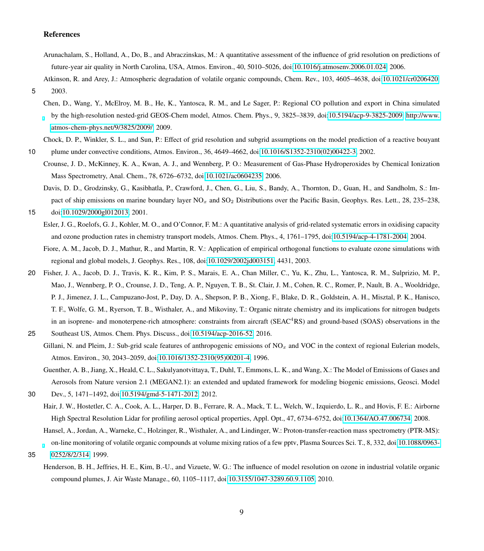# References

<span id="page-8-5"></span>Arunachalam, S., Holland, A., Do, B., and Abraczinskas, M.: A quantitative assessment of the influence of grid resolution on predictions of future-year air quality in North Carolina, USA, Atmos. Environ., 40, 5010–5026, doi[:10.1016/j.atmosenv.2006.01.024,](http://dx.doi.org/10.1016/j.atmosenv.2006.01.024) 2006.

<span id="page-8-0"></span>Atkinson, R. and Arey, J.: Atmospheric degradation of volatile organic compounds, Chem. Rev., 103, 4605–4638, doi[:10.1021/cr0206420,](http://dx.doi.org/10.1021/cr0206420)

<span id="page-8-8"></span>5 2003.

Chen, D., Wang, Y., McElroy, M. B., He, K., Yantosca, R. M., and Le Sager, P.: Regional CO pollution and export in China simulated by the high-resolution nested-grid GEOS-Chem model, Atmos. Chem. Phys., 9, 3825–3839, doi[:10.5194/acp-9-3825-2009,](http://dx.doi.org/10.5194/acp-9-3825-2009) [http://www.](http://www.atmos-chem-phys.net/9/3825/2009/) [atmos-chem-phys.net/9/3825/2009/,](http://www.atmos-chem-phys.net/9/3825/2009/) 2009.

<span id="page-8-2"></span>Chock, D. P., Winkler, S. L., and Sun, P.: Effect of grid resolution and subgrid assumptions on the model prediction of a reactive bouyant 10 plume under convective conditions, Atmos. Environ., 36, 4649–4662, doi[:10.1016/S1352-2310\(02\)00422-3,](http://dx.doi.org/10.1016/S1352-2310(02)00422-3) 2002.

- <span id="page-8-12"></span>Crounse, J. D., McKinney, K. A., Kwan, A. J., and Wennberg, P. O.: Measurement of Gas-Phase Hydroperoxides by Chemical Ionization Mass Spectrometry, Anal. Chem., 78, 6726–6732, doi[:10.1021/ac0604235,](http://dx.doi.org/10.1021/ac0604235) 2006.
- <span id="page-8-4"></span><span id="page-8-3"></span>Davis, D. D., Grodzinsky, G., Kasibhatla, P., Crawford, J., Chen, G., Liu, S., Bandy, A., Thornton, D., Guan, H., and Sandholm, S.: Impact of ship emissions on marine boundary layer  $NO<sub>x</sub>$  and  $SO<sub>2</sub>$  Distributions over the Pacific Basin, Geophys. Res. Lett., 28, 235–238, 15 doi[:10.1029/2000gl012013,](http://dx.doi.org/10.1029/2000gl012013) 2001.
	- Esler, J. G., Roelofs, G. J., Kohler, M. O., and O'Connor, F. M.: A quantitative analysis of grid-related systematic errors in oxidising capacity and ozone production rates in chemistry transport models, Atmos. Chem. Phys., 4, 1761–1795, doi[:10.5194/acp-4-1781-2004,](http://dx.doi.org/10.5194/acp-4-1781-2004) 2004.
	- Fiore, A. M., Jacob, D. J., Mathur, R., and Martin, R. V.: Application of empirical orthogonal functions to evaluate ozone simulations with regional and global models, J. Geophys. Res., 108, doi[:10.1029/2002jd003151,](http://dx.doi.org/10.1029/2002jd003151) 4431, 2003.
- <span id="page-8-7"></span><span id="page-8-6"></span>20 Fisher, J. A., Jacob, D. J., Travis, K. R., Kim, P. S., Marais, E. A., Chan Miller, C., Yu, K., Zhu, L., Yantosca, R. M., Sulprizio, M. P., Mao, J., Wennberg, P. O., Crounse, J. D., Teng, A. P., Nguyen, T. B., St. Clair, J. M., Cohen, R. C., Romer, P., Nault, B. A., Wooldridge, P. J., Jimenez, J. L., Campuzano-Jost, P., Day, D. A., Shepson, P. B., Xiong, F., Blake, D. R., Goldstein, A. H., Misztal, P. K., Hanisco, T. F., Wolfe, G. M., Ryerson, T. B., Wisthaler, A., and Mikoviny, T.: Organic nitrate chemistry and its implications for nitrogen budgets in an isoprene- and monoterpene-rich atmosphere: constraints from aircraft (SEAC<sup>4</sup>RS) and ground-based (SOAS) observations in the
- <span id="page-8-9"></span><span id="page-8-1"></span>25 Southeast US, Atmos. Chem. Phys. Discuss., doi[:10.5194/acp-2016-52,](http://dx.doi.org/10.5194/acp-2016-52) 2016.
	- Gillani, N. and Pleim, J.: Sub-grid scale features of anthropogenic emissions of  $NO<sub>x</sub>$  and VOC in the context of regional Eulerian models, Atmos. Environ., 30, 2043–2059, doi[:10.1016/1352-2310\(95\)00201-4,](http://dx.doi.org/10.1016/1352-2310(95)00201-4) 1996.
		- Guenther, A. B., Jiang, X., Heald, C. L., Sakulyanotvittaya, T., Duhl, T., Emmons, L. K., and Wang, X.: The Model of Emissions of Gases and Aerosols from Nature version 2.1 (MEGAN2.1): an extended and updated framework for modeling biogenic emissions, Geosci. Model
- <span id="page-8-10"></span>30 Dev., 5, 1471–1492, doi[:10.5194/gmd-5-1471-2012,](http://dx.doi.org/10.5194/gmd-5-1471-2012) 2012.
	- Hair, J. W., Hostetler, C. A., Cook, A. L., Harper, D. B., Ferrare, R. A., Mack, T. L., Welch, W., Izquierdo, L. R., and Hovis, F. E.: Airborne High Spectral Resolution Lidar for profiling aerosol optical properties, Appl. Opt., 47, 6734–6752, doi[:10.1364/AO.47.006734,](http://dx.doi.org/10.1364/AO.47.006734) 2008.

<span id="page-8-11"></span>Hansel, A., Jordan, A., Warneke, C., Holzinger, R., Wisthaler, A., and Lindinger, W.: Proton-transfer-reaction mass spectrometry (PTR-MS): on-line monitoring of volatile organic compounds at volume mixing ratios of a few pptv, Plasma Sources Sci. T., 8, 332, doi[:10.1088/0963-](http://dx.doi.org/10.1088/0963-0252/8/2/314)

- <span id="page-8-13"></span>35 [0252/8/2/314,](http://dx.doi.org/10.1088/0963-0252/8/2/314) 1999.
	- Henderson, B. H., Jeffries, H. E., Kim, B.-U., and Vizuete, W. G.: The influence of model resolution on ozone in industrial volatile organic compound plumes, J. Air Waste Manage., 60, 1105–1117, doi[:10.3155/1047-3289.60.9.1105,](http://dx.doi.org/10.3155/1047-3289.60.9.1105) 2010.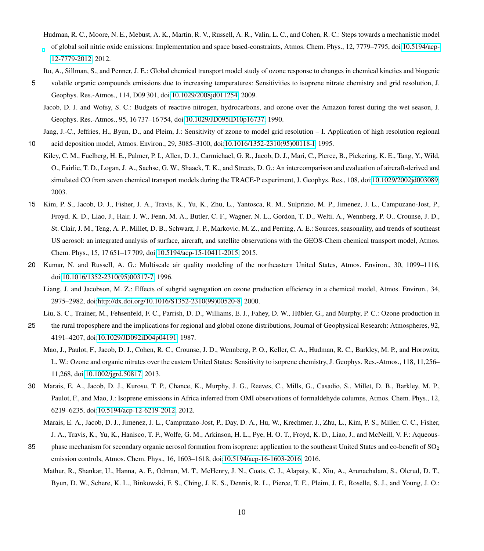- <span id="page-9-10"></span>Hudman, R. C., Moore, N. E., Mebust, A. K., Martin, R. V., Russell, A. R., Valin, L. C., and Cohen, R. C.: Steps towards a mechanistic model of global soil nitric oxide emissions: Implementation and space based-constraints, Atmos. Chem. Phys., 12, 7779–7795, doi[:10.5194/acp-](http://dx.doi.org/10.5194/acp-12-7779-2012)[12-7779-2012,](http://dx.doi.org/10.5194/acp-12-7779-2012) 2012.
- <span id="page-9-4"></span>Ito, A., Sillman, S., and Penner, J. E.: Global chemical transport model study of ozone response to changes in chemical kinetics and biogenic
- <span id="page-9-11"></span>5 volatile organic compounds emissions due to increasing temperatures: Sensitivities to isoprene nitrate chemistry and grid resolution, J. Geophys. Res.-Atmos., 114, D09 301, doi[:10.1029/2008jd011254,](http://dx.doi.org/10.1029/2008jd011254) 2009.
	- Jacob, D. J. and Wofsy, S. C.: Budgets of reactive nitrogen, hydrocarbons, and ozone over the Amazon forest during the wet season, J. Geophys. Res.-Atmos., 95, 16 737–16 754, doi[:10.1029/JD095iD10p16737,](http://dx.doi.org/10.1029/JD095iD10p16737) 1990.

<span id="page-9-0"></span>Jang, J.-C., Jeffries, H., Byun, D., and Pleim, J.: Sensitivity of zzone to model grid resolution – I. Application of high resolution regional 10 acid deposition model, Atmos. Environ., 29, 3085–3100, doi[:10.1016/1352-2310\(95\)00118-I,](http://dx.doi.org/10.1016/1352-2310(95)00118-I) 1995.

- <span id="page-9-6"></span>Kiley, C. M., Fuelberg, H. E., Palmer, P. I., Allen, D. J., Carmichael, G. R., Jacob, D. J., Mari, C., Pierce, B., Pickering, K. E., Tang, Y., Wild, O., Fairlie, T. D., Logan, J. A., Sachse, G. W., Shaack, T. K., and Streets, D. G.: An intercomparison and evaluation of aircraft-derived and simulated CO from seven chemical transport models during the TRACE-P experiment, J. Geophys. Res., 108, doi[:10.1029/2002jd003089,](http://dx.doi.org/10.1029/2002jd003089) 2003.
- <span id="page-9-8"></span>15 Kim, P. S., Jacob, D. J., Fisher, J. A., Travis, K., Yu, K., Zhu, L., Yantosca, R. M., Sulprizio, M. P., Jimenez, J. L., Campuzano-Jost, P., Froyd, K. D., Liao, J., Hair, J. W., Fenn, M. A., Butler, C. F., Wagner, N. L., Gordon, T. D., Welti, A., Wennberg, P. O., Crounse, J. D., St. Clair, J. M., Teng, A. P., Millet, D. B., Schwarz, J. P., Markovic, M. Z., and Perring, A. E.: Sources, seasonality, and trends of southeast US aerosol: an integrated analysis of surface, aircraft, and satellite observations with the GEOS-Chem chemical transport model, Atmos. Chem. Phys., 15, 17 651–17 709, doi[:10.5194/acp-15-10411-2015,](http://dx.doi.org/10.5194/acp-15-10411-2015) 2015.
- <span id="page-9-3"></span><span id="page-9-1"></span>20 Kumar, N. and Russell, A. G.: Multiscale air quality modeling of the northeastern United States, Atmos. Environ., 30, 1099–1116, doi[:10.1016/1352-2310\(95\)00317-7,](http://dx.doi.org/10.1016/1352-2310(95)00317-7) 1996.
	- Liang, J. and Jacobson, M. Z.: Effects of subgrid segregation on ozone production efficiency in a chemical model, Atmos. Environ., 34, 2975–2982, doi[:http://dx.doi.org/10.1016/S1352-2310\(99\)00520-8,](http://dx.doi.org/http://dx.doi.org/10.1016/S1352-2310(99)00520-8) 2000.

Liu, S. C., Trainer, M., Fehsenfeld, F. C., Parrish, D. D., Williams, E. J., Fahey, D. W., Hübler, G., and Murphy, P. C.: Ozone production in

- <span id="page-9-9"></span><span id="page-9-2"></span>25 the rural troposphere and the implications for regional and global ozone distributions, Journal of Geophysical Research: Atmospheres, 92, 4191–4207, doi[:10.1029/JD092iD04p04191,](http://dx.doi.org/10.1029/JD092iD04p04191) 1987.
	- Mao, J., Paulot, F., Jacob, D. J., Cohen, R. C., Crounse, J. D., Wennberg, P. O., Keller, C. A., Hudman, R. C., Barkley, M. P., and Horowitz, L. W.: Ozone and organic nitrates over the eastern United States: Sensitivity to isoprene chemistry, J. Geophys. Res.-Atmos., 118, 11,256– 11,268, doi[:10.1002/jgrd.50817,](http://dx.doi.org/10.1002/jgrd.50817) 2013.
- <span id="page-9-12"></span><span id="page-9-5"></span>30 Marais, E. A., Jacob, D. J., Kurosu, T. P., Chance, K., Murphy, J. G., Reeves, C., Mills, G., Casadio, S., Millet, D. B., Barkley, M. P., Paulot, F., and Mao, J.: Isoprene emissions in Africa inferred from OMI observations of formaldehyde columns, Atmos. Chem. Phys., 12, 6219–6235, doi[:10.5194/acp-12-6219-2012,](http://dx.doi.org/10.5194/acp-12-6219-2012) 2012.
	- Marais, E. A., Jacob, D. J., Jimenez, J. L., Campuzano-Jost, P., Day, D. A., Hu, W., Krechmer, J., Zhu, L., Kim, P. S., Miller, C. C., Fisher, J. A., Travis, K., Yu, K., Hanisco, T. F., Wolfe, G. M., Arkinson, H. L., Pye, H. O. T., Froyd, K. D., Liao, J., and McNeill, V. F.: Aqueous-
- <span id="page-9-7"></span>35 phase mechanism for secondary organic aerosol formation from isoprene: application to the southeast United States and co-benefit of SO<sub>2</sub> emission controls, Atmos. Chem. Phys., 16, 1603–1618, doi[:10.5194/acp-16-1603-2016,](http://dx.doi.org/10.5194/acp-16-1603-2016) 2016.
	- Mathur, R., Shankar, U., Hanna, A. F., Odman, M. T., McHenry, J. N., Coats, C. J., Alapaty, K., Xiu, A., Arunachalam, S., Olerud, D. T., Byun, D. W., Schere, K. L., Binkowski, F. S., Ching, J. K. S., Dennis, R. L., Pierce, T. E., Pleim, J. E., Roselle, S. J., and Young, J. O.: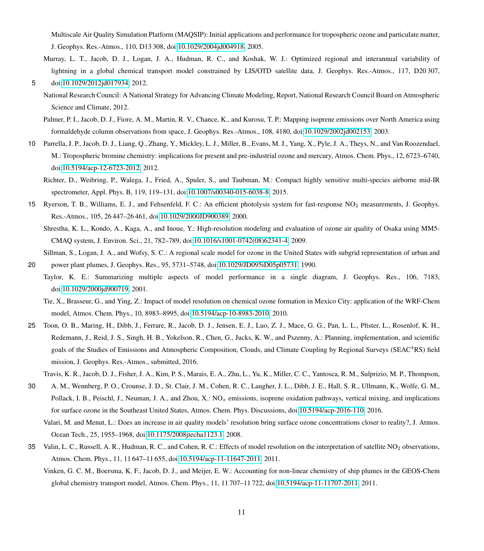Multiscale Air Quality Simulation Platform (MAQSIP): Initial applications and performance for tropospheric ozone and particulate matter, J. Geophys. Res.-Atmos., 110, D13 308, doi[:10.1029/2004jd004918,](http://dx.doi.org/10.1029/2004jd004918) 2005.

- <span id="page-10-8"></span><span id="page-10-0"></span>Murray, L. T., Jacob, D. J., Logan, J. A., Hudman, R. C., and Koshak, W. J.: Optimized regional and interannual variability of lightning in a global chemical transport model constrained by LIS/OTD satellite data, J. Geophys. Res.-Atmos., 117, D20 307, 5 doi[:10.1029/2012jd017934,](http://dx.doi.org/10.1029/2012jd017934) 2012.
	- National Research Council: A National Strategy for Advancing Climate Modeling, Report, National Research Council Board on Atmospheric Science and Climate, 2012.
	- Palmer, P. I., Jacob, D. J., Fiore, A. M., Martin, R. V., Chance, K., and Kurosu, T. P.: Mapping isoprene emissions over North America using formaldehyde column observations from space, J. Geophys. Res.-Atmos., 108, 4180, doi[:10.1029/2002jd002153,](http://dx.doi.org/10.1029/2002jd002153) 2003.
- <span id="page-10-11"></span><span id="page-10-10"></span><span id="page-10-7"></span>10 Parrella, J. P., Jacob, D. J., Liang, Q., Zhang, Y., Mickley, L. J., Miller, B., Evans, M. J., Yang, X., Pyle, J. A., Theys, N., and Van Roozendael, M.: Tropospheric bromine chemistry: implications for present and pre-industrial ozone and mercury, Atmos. Chem. Phys., 12, 6723–6740, doi[:10.5194/acp-12-6723-2012,](http://dx.doi.org/10.5194/acp-12-6723-2012) 2012.
	- Richter, D., Weibring, P., Walega, J., Fried, A., Spuler, S., and Taubman, M.: Compact highly sensitive multi-species airborne mid-IR spectrometer, Appl. Phys. B, 119, 119–131, doi[:10.1007/s00340-015-6038-8,](http://dx.doi.org/10.1007/s00340-015-6038-8) 2015.
- <span id="page-10-9"></span>15 Ryerson, T. B., Williams, E. J., and Fehsenfeld, F. C.: An efficient photolysis system for fast-response NO<sup>2</sup> measurements, J. Geophys. Res.-Atmos., 105, 26 447–26 461, doi[:10.1029/2000JD900389,](http://dx.doi.org/10.1029/2000JD900389) 2000.

<span id="page-10-12"></span>Shrestha, K. L., Kondo, A., Kaga, A., and Inoue, Y.: High-resolution modeling and evaluation of ozone air quality of Osaka using MM5- CMAQ system, J. Environ. Sci., 21, 782–789, doi[:10.1016/s1001-0742\(08\)62341-4,](http://dx.doi.org/10.1016/s1001-0742(08)62341-4) 2009.

- <span id="page-10-14"></span><span id="page-10-2"></span>Sillman, S., Logan, J. A., and Wofsy, S. C.: A regional scale model for ozone in the United States with subgrid representation of urban and 20 power plant plumes, J. Geophys. Res., 95, 5731–5748, doi[:10.1029/JD095iD05p05731,](http://dx.doi.org/10.1029/JD095iD05p05731) 1990.
	- Taylor, K. E.: Summarizing multiple aspects of model performance in a single diagram, J. Geophys. Res., 106, 7183, doi[:10.1029/2000jd900719,](http://dx.doi.org/10.1029/2000jd900719) 2001.
		- Tie, X., Brasseur, G., and Ying, Z.: Impact of model resolution on chemical ozone formation in Mexico City: application of the WRF-Chem model, Atmos. Chem. Phys., 10, 8983–8995, doi[:10.5194/acp-10-8983-2010,](http://dx.doi.org/10.5194/acp-10-8983-2010) 2010.
- <span id="page-10-13"></span><span id="page-10-1"></span>25 Toon, O. B., Maring, H., Dibb, J., Ferrare, R., Jacob, D. J., Jensen, E. J., Luo, Z. J., Mace, G. G., Pan, L. L., Pfister, L., Rosenlof, K. H., Redemann, J., Reid, J. S., Singh, H. B., Yokelson, R., Chen, G., Jucks, K. W., and Pszenny, A.: Planning, implementation, and scientific goals of the Studies of Emissions and Atmospheric Composition, Clouds, and Climate Coupling by Regional Surveys (SEAC<sup>4</sup>RS) field mission, J. Geophys. Res.-Atmos., submitted, 2016.
	- Travis, K. R., Jacob, D. J., Fisher, J. A., Kim, P. S., Marais, E. A., Zhu, L., Yu, K., Miller, C. C., Yantosca, R. M., Sulprizio, M. P., Thompson,
- <span id="page-10-6"></span><span id="page-10-5"></span>30 A. M., Wennberg, P. O., Crounse, J. D., St. Clair, J. M., Cohen, R. C., Laugher, J. L., Dibb, J. E., Hall, S. R., Ullmann, K., Wolfe, G. M., Pollack, I. B., Peischl, J., Neuman, J. A., and Zhou, X.:  $NO<sub>x</sub>$  emissions, isoprene oxidation pathways, vertical mixing, and implications for surface ozone in the Southeast United States, Atmos. Chem. Phys. Discussions, doi[:10.5194/acp-2016-110,](http://dx.doi.org/10.5194/acp-2016-110) 2016.
	- Valari, M. and Menut, L.: Does an increase in air quality models' resolution bring surface ozone concentrations closer to reality?, J. Atmos. Ocean Tech., 25, 1955–1968, doi[:10.1175/2008jtecha1123.1,](http://dx.doi.org/10.1175/2008jtecha1123.1) 2008.
- <span id="page-10-4"></span><span id="page-10-3"></span>35 Valin, L. C., Russell, A. R., Hudman, R. C., and Cohen, R. C.: Effects of model resolution on the interpretation of satellite NO<sub>2</sub> observations, Atmos. Chem. Phys., 11, 11 647–11 655, doi[:10.5194/acp-11-11647-2011,](http://dx.doi.org/10.5194/acp-11-11647-2011) 2011.
	- Vinken, G. C. M., Boersma, K. F., Jacob, D. J., and Meijer, E. W.: Accounting for non-linear chemistry of ship plumes in the GEOS-Chem global chemistry transport model, Atmos. Chem. Phys., 11, 11 707–11 722, doi[:10.5194/acp-11-11707-2011,](http://dx.doi.org/10.5194/acp-11-11707-2011) 2011.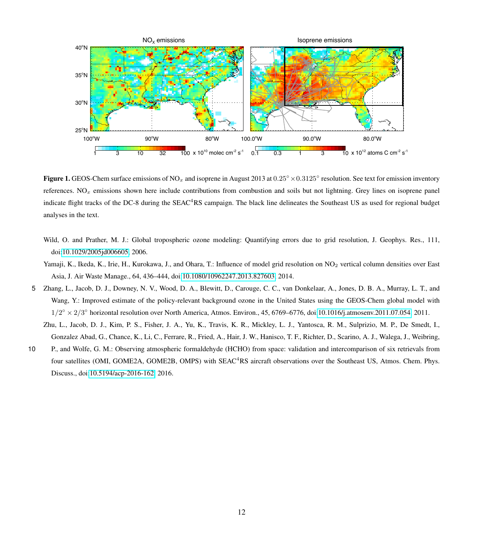

Figure 1. GEOS-Chem surface emissions of NO<sub>x</sub> and isoprene in August 2013 at  $0.25° \times 0.3125°$  resolution. See text for emission inventory references.  $NO<sub>x</sub>$  emissions shown here include contributions from combustion and soils but not lightning. Grey lines on isoprene panel indicate flight tracks of the DC-8 during the SEAC<sup>4</sup>RS campaign. The black line delineates the Southeast US as used for regional budget analyses in the text.

- <span id="page-11-0"></span>Wild, O. and Prather, M. J.: Global tropospheric ozone modeling: Quantifying errors due to grid resolution, J. Geophys. Res., 111, doi[:10.1029/2005jd006605,](http://dx.doi.org/10.1029/2005jd006605) 2006.
- <span id="page-11-1"></span>Yamaji, K., Ikeda, K., Irie, H., Kurokawa, J., and Ohara, T.: Influence of model grid resolution on NO<sub>2</sub> vertical column densities over East Asia, J. Air Waste Manage., 64, 436–444, doi[:10.1080/10962247.2013.827603,](http://dx.doi.org/10.1080/10962247.2013.827603) 2014.
- <span id="page-11-2"></span>5 Zhang, L., Jacob, D. J., Downey, N. V., Wood, D. A., Blewitt, D., Carouge, C. C., van Donkelaar, A., Jones, D. B. A., Murray, L. T., and Wang, Y.: Improved estimate of the policy-relevant background ozone in the United States using the GEOS-Chem global model with  $1/2^{\circ} \times 2/3^{\circ}$  horizontal resolution over North America, Atmos. Environ., 45, 6769–6776, doi[:10.1016/j.atmosenv.2011.07.054,](http://dx.doi.org/10.1016/j.atmosenv.2011.07.054) 2011.
	- Zhu, L., Jacob, D. J., Kim, P. S., Fisher, J. A., Yu, K., Travis, K. R., Mickley, L. J., Yantosca, R. M., Sulprizio, M. P., De Smedt, I., Gonzalez Abad, G., Chance, K., Li, C., Ferrare, R., Fried, A., Hair, J. W., Hanisco, T. F., Richter, D., Scarino, A. J., Walega, J., Weibring,
- <span id="page-11-3"></span>10 P., and Wolfe, G. M.: Observing atmospheric formaldehyde (HCHO) from space: validation and intercomparison of six retrievals from four satellites (OMI, GOME2A, GOME2B, OMPS) with SEAC<sup>4</sup>RS aircraft observations over the Southeast US, Atmos. Chem. Phys. Discuss., doi[:10.5194/acp-2016-162,](http://dx.doi.org/10.5194/acp-2016-162) 2016.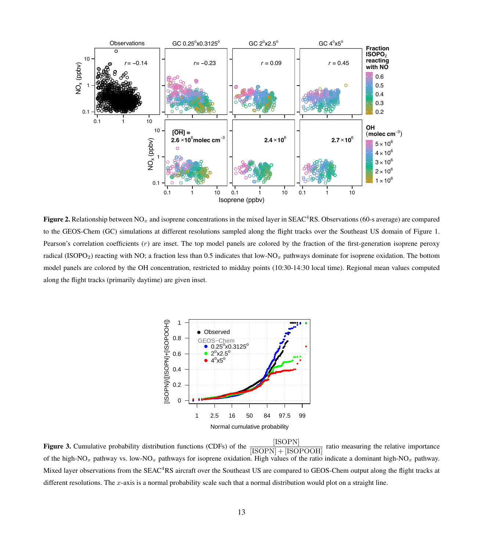

**Figure 2.** Relationship between NO<sub>x</sub> and isoprene concentrations in the mixed layer in SEAC<sup>4</sup>RS. Observations (60-s average) are compared to the GEOS-Chem (GC) simulations at different resolutions sampled along the flight tracks over the Southeast US domain of Figure 1. Pearson's correlation coefficients  $(r)$  are inset. The top model panels are colored by the fraction of the first-generation isoprene peroxy radical (ISOPO<sub>2</sub>) reacting with NO; a fraction less than 0.5 indicates that low-NO<sub>x</sub> pathways dominate for isoprene oxidation. The bottom model panels are colored by the OH concentration, restricted to midday points (10:30-14:30 local time). Regional mean values computed along the flight tracks (primarily daytime) are given inset.



[ISOPN Figure 3. Cumulative probability distribution functions (CDFs) of the ratio measuring the relative importance  $[ISOPN] + [ISOPOOH]$ of the high-NO<sub>x</sub> pathway vs. low-NO<sub>x</sub> pathways for isoprene oxidation. High values of the ratio indicate a dominant high-NO<sub>x</sub> pathway. Mixed layer observations from the SEAC<sup>4</sup>RS aircraft over the Southeast US are compared to GEOS-Chem output along the flight tracks at different resolutions. The  $x$ -axis is a normal probability scale such that a normal distribution would plot on a straight line.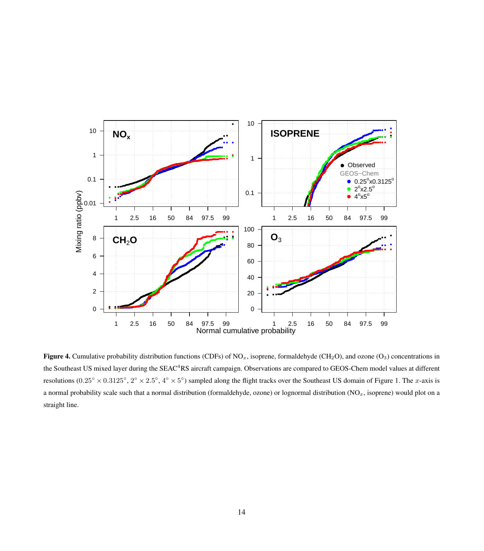

Figure 4. Cumulative probability distribution functions (CDFs) of NO<sub>x</sub>, isoprene, formaldehyde (CH<sub>2</sub>O), and ozone (O<sub>3</sub>) concentrations in the Southeast US mixed layer during the SEAC<sup>4</sup>RS aircraft campaign. Observations are compared to GEOS-Chem model values at different resolutions  $(0.25^{\circ} \times 0.3125^{\circ}, 2^{\circ} \times 2.5^{\circ}, 4^{\circ} \times 5^{\circ})$  sampled along the flight tracks over the Southeast US domain of Figure 1. The *x*-axis is a normal probability scale such that a normal distribution (formaldehyde, ozone) or lognormal distribution  $(NO_x, isoprene)$  would plot on a straight line.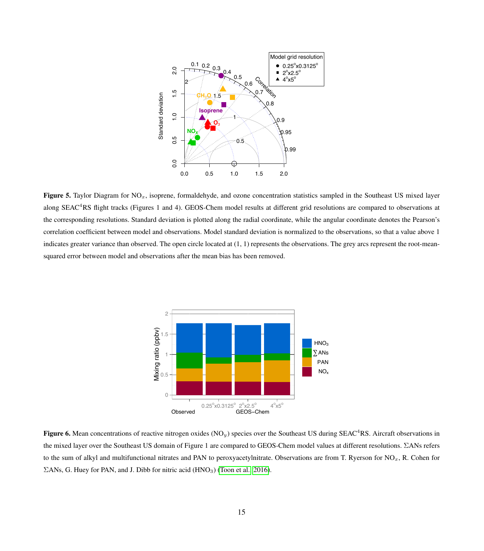

Figure 5. Taylor Diagram for  $NO<sub>x</sub>$ , isoprene, formaldehyde, and ozone concentration statistics sampled in the Southeast US mixed layer along SEAC<sup>4</sup>RS flight tracks (Figures 1 and 4). GEOS-Chem model results at different grid resolutions are compared to observations at the corresponding resolutions. Standard deviation is plotted along the radial coordinate, while the angular coordinate denotes the Pearson's correlation coefficient between model and observations. Model standard deviation is normalized to the observations, so that a value above 1 indicates greater variance than observed. The open circle located at (1, 1) represents the observations. The grey arcs represent the root-meansquared error between model and observations after the mean bias has been removed.



 $\Sigma$ ANs, G. Huey for PAN, and J. Dibb for nitric acid (HNO<sub>3</sub>) [\(Toon et al., 2016\)](#page-10-1). Figure 6. Mean concentrations of reactive nitrogen oxides (NO<sub>y</sub>) species over the Southeast US during SEAC<sup>4</sup>RS. Aircraft observations in to the sum of alkyl and multifunctional nitrates and PAN to peroxyacetylnitrate. Observations are from T. Ryerson for  $NO_x$ , R. Cohen for the mixed layer over the Southeast US domain of Figure 1 are compared to GEOS-Chem model values at different resolutions. ΣANs refers